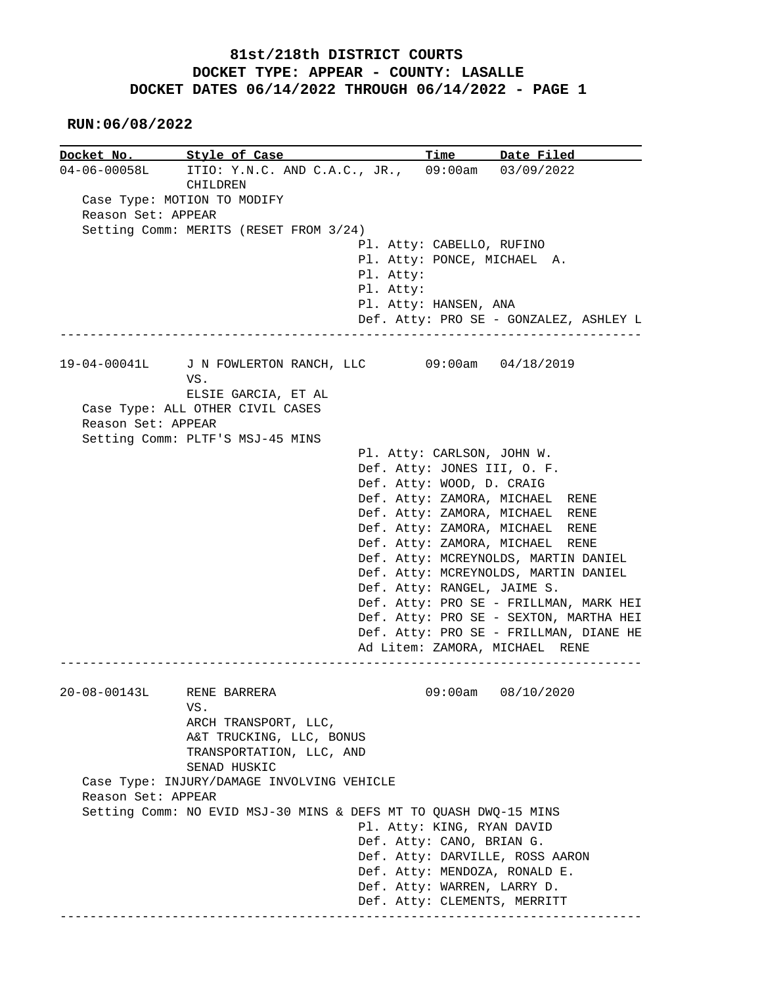**RUN:06/08/2022**

|                    | Docket No. 5tyle of Case                                                  |                                                             | Time Date Filed                        |
|--------------------|---------------------------------------------------------------------------|-------------------------------------------------------------|----------------------------------------|
|                    | 04-06-00058L ITIO: Y.N.C. AND C.A.C., JR., 09:00am 03/09/2022<br>CHILDREN |                                                             |                                        |
|                    | Case Type: MOTION TO MODIFY                                               |                                                             |                                        |
| Reason Set: APPEAR |                                                                           |                                                             |                                        |
|                    | Setting Comm: MERITS (RESET FROM 3/24)                                    |                                                             |                                        |
|                    |                                                                           | Pl. Atty: CABELLO, RUFINO                                   |                                        |
|                    |                                                                           | Pl. Atty: PONCE, MICHAEL A.                                 |                                        |
|                    |                                                                           | Pl. Atty:                                                   |                                        |
|                    |                                                                           | Pl. Atty:                                                   |                                        |
|                    |                                                                           | Pl. Atty: HANSEN, ANA                                       |                                        |
|                    |                                                                           |                                                             | Def. Atty: PRO SE - GONZALEZ, ASHLEY L |
|                    | 19-04-00041L J N FOWLERTON RANCH, LLC 09:00am 04/18/2019<br>VS.           |                                                             |                                        |
|                    | ELSIE GARCIA, ET AL                                                       |                                                             |                                        |
|                    | Case Type: ALL OTHER CIVIL CASES                                          |                                                             |                                        |
| Reason Set: APPEAR |                                                                           |                                                             |                                        |
|                    | Setting Comm: PLTF'S MSJ-45 MINS                                          |                                                             |                                        |
|                    |                                                                           | Pl. Atty: CARLSON, JOHN W.                                  |                                        |
|                    |                                                                           | Def. Atty: JONES III, O. F.                                 |                                        |
|                    |                                                                           | Def. Atty: WOOD, D. CRAIG                                   |                                        |
|                    |                                                                           | Def. Atty: ZAMORA, MICHAEL RENE                             |                                        |
|                    |                                                                           | Def. Atty: ZAMORA, MICHAEL RENE                             |                                        |
|                    |                                                                           | Def. Atty: ZAMORA, MICHAEL RENE                             |                                        |
|                    |                                                                           | Def. Atty: ZAMORA, MICHAEL RENE                             |                                        |
|                    |                                                                           |                                                             | Def. Atty: MCREYNOLDS, MARTIN DANIEL   |
|                    |                                                                           |                                                             | Def. Atty: MCREYNOLDS, MARTIN DANIEL   |
|                    |                                                                           | Def. Atty: RANGEL, JAIME S.                                 |                                        |
|                    |                                                                           |                                                             | Def. Atty: PRO SE - FRILLMAN, MARK HEI |
|                    |                                                                           |                                                             | Def. Atty: PRO SE - SEXTON, MARTHA HEI |
|                    |                                                                           | Ad Litem: ZAMORA, MICHAEL RENE                              | Def. Atty: PRO SE - FRILLMAN, DIANE HE |
|                    |                                                                           |                                                             |                                        |
|                    | 20-08-00143L RENE BARRERA                                                 |                                                             | 09:00am 08/10/2020                     |
|                    | VS.                                                                       |                                                             |                                        |
|                    | ARCH TRANSPORT, LLC,                                                      |                                                             |                                        |
|                    | A&T TRUCKING, LLC, BONUS                                                  |                                                             |                                        |
|                    | TRANSPORTATION, LLC, AND<br>SENAD HUSKIC                                  |                                                             |                                        |
|                    | Case Type: INJURY/DAMAGE INVOLVING VEHICLE                                |                                                             |                                        |
| Reason Set: APPEAR |                                                                           |                                                             |                                        |
|                    | Setting Comm: NO EVID MSJ-30 MINS & DEFS MT TO QUASH DWQ-15 MINS          |                                                             |                                        |
|                    |                                                                           | Pl. Atty: KING, RYAN DAVID                                  |                                        |
|                    |                                                                           | Def. Atty: CANO, BRIAN G.                                   |                                        |
|                    |                                                                           | Def. Atty: DARVILLE, ROSS AARON                             |                                        |
|                    |                                                                           | Def. Atty: MENDOZA, RONALD E.                               |                                        |
|                    |                                                                           |                                                             |                                        |
|                    |                                                                           | Def. Atty: WARREN, LARRY D.<br>Def. Atty: CLEMENTS, MERRITT |                                        |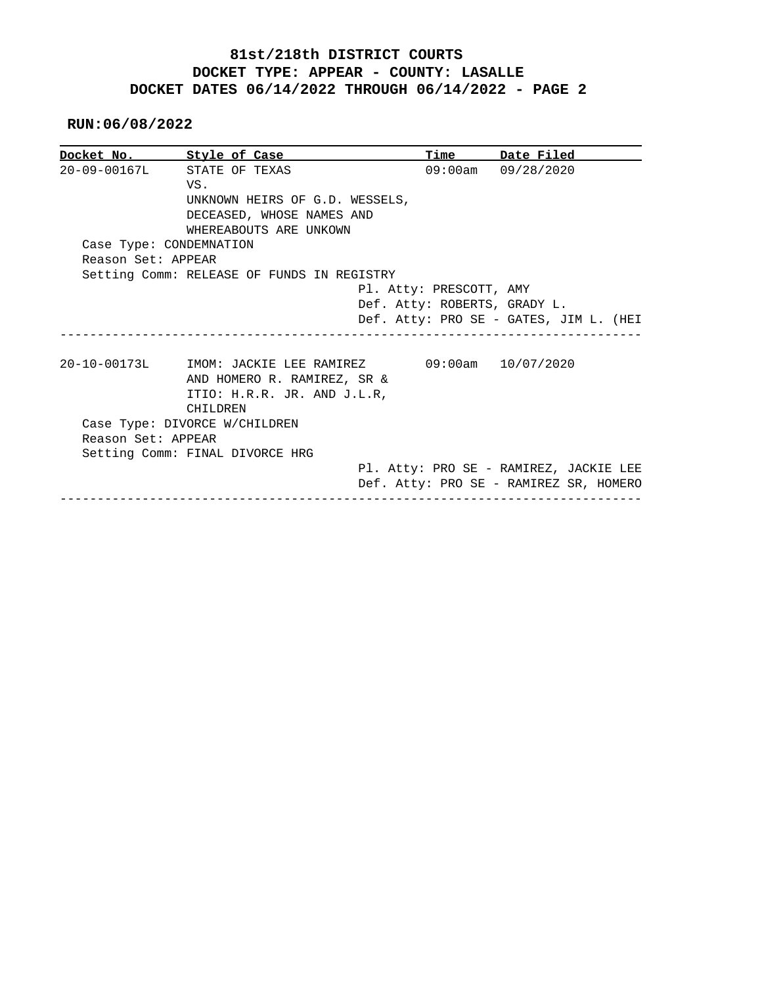#### **RUN:06/08/2022**

|                         | Docket No. Style of Case                                                                                              | Time                         | Date Filed                                                                       |  |
|-------------------------|-----------------------------------------------------------------------------------------------------------------------|------------------------------|----------------------------------------------------------------------------------|--|
| $20 - 09 - 00167L$      | STATE OF TEXAS                                                                                                        |                              | $09:00am$ $09/28/2020$                                                           |  |
|                         | VS.                                                                                                                   |                              |                                                                                  |  |
|                         | UNKNOWN HEIRS OF G.D. WESSELS,                                                                                        |                              |                                                                                  |  |
|                         | DECEASED, WHOSE NAMES AND                                                                                             |                              |                                                                                  |  |
|                         | WHEREABOUTS ARE UNKOWN                                                                                                |                              |                                                                                  |  |
| Case Type: CONDEMNATION |                                                                                                                       |                              |                                                                                  |  |
| Reason Set: APPEAR      |                                                                                                                       |                              |                                                                                  |  |
|                         | Setting Comm: RELEASE OF FUNDS IN REGISTRY                                                                            |                              |                                                                                  |  |
|                         |                                                                                                                       | Pl. Atty: PRESCOTT, AMY      |                                                                                  |  |
|                         |                                                                                                                       | Def. Atty: ROBERTS, GRADY L. |                                                                                  |  |
|                         |                                                                                                                       |                              |                                                                                  |  |
|                         |                                                                                                                       |                              | Def. Atty: PRO SE - GATES, JIM L. (HEI                                           |  |
|                         | 20-10-00173L MOM: JACKIE LEE RAMIREZ 09:00am 10/07/2020<br>AND HOMERO R. RAMIREZ, SR &<br>ITIO: H.R.R. JR. AND J.L.R, |                              |                                                                                  |  |
|                         | CHILDREN                                                                                                              |                              |                                                                                  |  |
|                         | Case Type: DIVORCE W/CHILDREN                                                                                         |                              |                                                                                  |  |
| Reason Set: APPEAR      |                                                                                                                       |                              |                                                                                  |  |
|                         | Setting Comm: FINAL DIVORCE HRG                                                                                       |                              |                                                                                  |  |
|                         |                                                                                                                       |                              | Pl. Atty: PRO SE - RAMIREZ, JACKIE LEE<br>Def. Atty: PRO SE - RAMIREZ SR, HOMERO |  |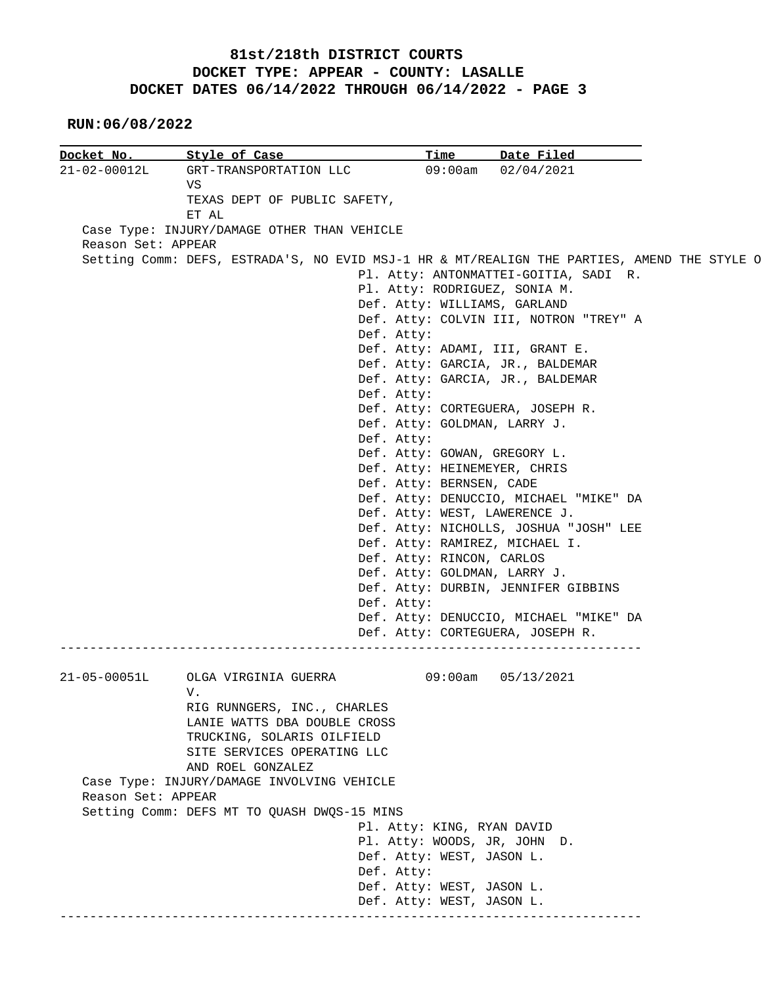**RUN:06/08/2022**

| Docket No.         | Style of Case                                                                               | <u>Time</u>                                    | Date Filed                             |  |
|--------------------|---------------------------------------------------------------------------------------------|------------------------------------------------|----------------------------------------|--|
| 21-02-00012L       | GRT-TRANSPORTATION LLC                                                                      |                                                | 09:00am 02/04/2021                     |  |
|                    | VS                                                                                          |                                                |                                        |  |
|                    | TEXAS DEPT OF PUBLIC SAFETY,                                                                |                                                |                                        |  |
|                    | ET AL                                                                                       |                                                |                                        |  |
|                    | Case Type: INJURY/DAMAGE OTHER THAN VEHICLE                                                 |                                                |                                        |  |
| Reason Set: APPEAR |                                                                                             |                                                |                                        |  |
|                    | Setting Comm: DEFS, ESTRADA'S, NO EVID MSJ-1 HR & MT/REALIGN THE PARTIES, AMEND THE STYLE O |                                                |                                        |  |
|                    |                                                                                             |                                                | Pl. Atty: ANTONMATTEI-GOITIA, SADI R.  |  |
|                    |                                                                                             | Pl. Atty: RODRIGUEZ, SONIA M.                  |                                        |  |
|                    |                                                                                             | Def. Atty: WILLIAMS, GARLAND                   |                                        |  |
|                    |                                                                                             |                                                | Def. Atty: COLVIN III, NOTRON "TREY" A |  |
|                    |                                                                                             | Def. Atty:                                     |                                        |  |
|                    |                                                                                             | Def. Atty: ADAMI, III, GRANT E.                |                                        |  |
|                    |                                                                                             | Def. Atty: GARCIA, JR., BALDEMAR               |                                        |  |
|                    |                                                                                             | Def. Atty: GARCIA, JR., BALDEMAR<br>Def. Atty: |                                        |  |
|                    |                                                                                             | Def. Atty: CORTEGUERA, JOSEPH R.               |                                        |  |
|                    |                                                                                             | Def. Atty: GOLDMAN, LARRY J.                   |                                        |  |
|                    |                                                                                             | Def. Atty:                                     |                                        |  |
|                    |                                                                                             | Def. Atty: GOWAN, GREGORY L.                   |                                        |  |
|                    |                                                                                             | Def. Atty: HEINEMEYER, CHRIS                   |                                        |  |
|                    |                                                                                             | Def. Atty: BERNSEN, CADE                       |                                        |  |
|                    |                                                                                             |                                                | Def. Atty: DENUCCIO, MICHAEL "MIKE" DA |  |
|                    |                                                                                             | Def. Atty: WEST, LAWERENCE J.                  |                                        |  |
|                    |                                                                                             |                                                | Def. Atty: NICHOLLS, JOSHUA "JOSH" LEE |  |
|                    |                                                                                             | Def. Atty: RAMIREZ, MICHAEL I.                 |                                        |  |
|                    |                                                                                             | Def. Atty: RINCON, CARLOS                      |                                        |  |
|                    |                                                                                             | Def. Atty: GOLDMAN, LARRY J.                   |                                        |  |
|                    |                                                                                             |                                                | Def. Atty: DURBIN, JENNIFER GIBBINS    |  |
|                    |                                                                                             | Def. Atty:                                     |                                        |  |
|                    |                                                                                             |                                                | Def. Atty: DENUCCIO, MICHAEL "MIKE" DA |  |
|                    |                                                                                             | Def. Atty: CORTEGUERA, JOSEPH R.               |                                        |  |
|                    |                                                                                             |                                                |                                        |  |
|                    |                                                                                             |                                                |                                        |  |
| $21 - 05 - 00051L$ | OLGA VIRGINIA GUERRA<br>V.                                                                  |                                                | 09:00am 05/13/2021                     |  |
|                    | RIG RUNNGERS, INC., CHARLES                                                                 |                                                |                                        |  |
|                    | LANIE WATTS DBA DOUBLE CROSS                                                                |                                                |                                        |  |
|                    | TRUCKING, SOLARIS OILFIELD                                                                  |                                                |                                        |  |
|                    | SITE SERVICES OPERATING LLC                                                                 |                                                |                                        |  |
|                    | AND ROEL GONZALEZ                                                                           |                                                |                                        |  |
|                    | Case Type: INJURY/DAMAGE INVOLVING VEHICLE                                                  |                                                |                                        |  |
| Reason Set: APPEAR |                                                                                             |                                                |                                        |  |
|                    | Setting Comm: DEFS MT TO QUASH DWQS-15 MINS                                                 |                                                |                                        |  |
|                    |                                                                                             | Pl. Atty: KING, RYAN DAVID                     |                                        |  |
|                    |                                                                                             | Pl. Atty: WOODS, JR, JOHN D.                   |                                        |  |
|                    |                                                                                             | Def. Atty: WEST, JASON L.                      |                                        |  |
|                    |                                                                                             | Def. Atty:                                     |                                        |  |
|                    |                                                                                             |                                                |                                        |  |
|                    |                                                                                             | Def. Atty: WEST, JASON L.                      |                                        |  |